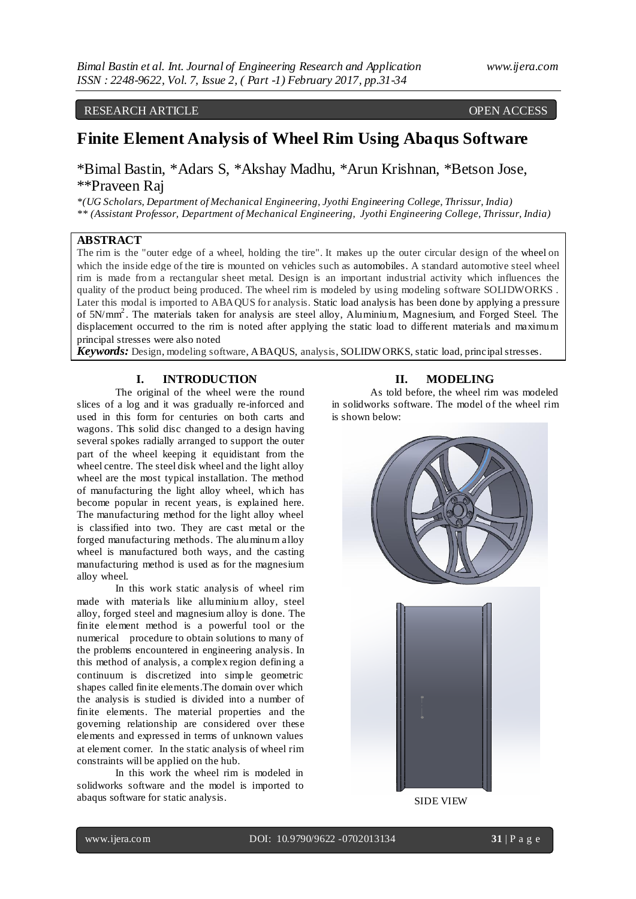## RESEARCH ARTICLE OPEN ACCESS

# **Finite Element Analysis of Wheel Rim Using Abaqus Software**

\*Bimal Bastin, \*Adars S, \*Akshay Madhu, \*Arun Krishnan, \*Betson Jose, \*\*Praveen Raj

*\*(UG Scholars, Department of Mechanical Engineering, Jyothi Engineering College, Thrissur, India) \*\* (Assistant Professor, Department of Mechanical Engineering, Jyothi Engineering College, Thrissur, India)*

## **ABSTRACT**

The rim is the "outer edge of a wheel, holding the tire". It makes up the outer circular design of the wheel on which the inside edge of the tire is mounted on vehicles such as automobiles. A standard automotive steel wheel rim is made from a rectangular sheet metal. Design is an important industrial activity which influences the quality of the product being produced. The wheel rim is modeled by using modeling software SOLIDWORKS. Later this modal is imported to ABAQUS for analysis. Static load analysis has been done by applying a pressure of 5N/mm<sup>2</sup>. The materials taken for analysis are steel alloy, Aluminium, Magnesium, and Forged Steel. The displacement occurred to the rim is noted after applying the static load to different materials and maximum principal stresses were also noted

*Keywords:* Design, modeling software, ABAQUS, analysis, SOLIDW ORKS, static load, principal stresses.

## **I. INTRODUCTION**

The original of the wheel were the round slices of a log and it was gradually re-inforced and used in this form for centuries on both carts and wagons. This solid disc changed to a design having several spokes radially arranged to support the outer part of the wheel keeping it equidistant from the wheel centre. The steel disk wheel and the light alloy wheel are the most typical installation. The method of manufacturing the light alloy wheel, which has become popular in recent years, is explained here. The manufacturing method for the light alloy wheel is classified into two. They are cast metal or the forged manufacturing methods. The aluminum alloy wheel is manufactured both ways, and the casting manufacturing method is used as for the magnesium alloy wheel.

In this work static analysis of wheel rim made with materials like alluminium alloy, steel alloy, forged steel and magnesium alloy is done. The finite element method is a powerful tool or the numerical procedure to obtain solutions to many of the problems encountered in engineering analysis. In this method of analysis, a complex region defining a continuum is discretized into simple geometric shapes called finite elements.The domain over which the analysis is studied is divided into a number of finite elements. The material properties and the governing relationship are considered over these elements and expressed in terms of unknown values at element corner. In the static analysis of wheel rim constraints will be applied on the hub.

In this work the wheel rim is modeled in solidworks software and the model is imported to abaqus software for static analysis.

#### **II. MODELING**

As told before, the wheel rim was modeled in solidworks software. The model of the wheel rim is shown below:





SIDE VIEW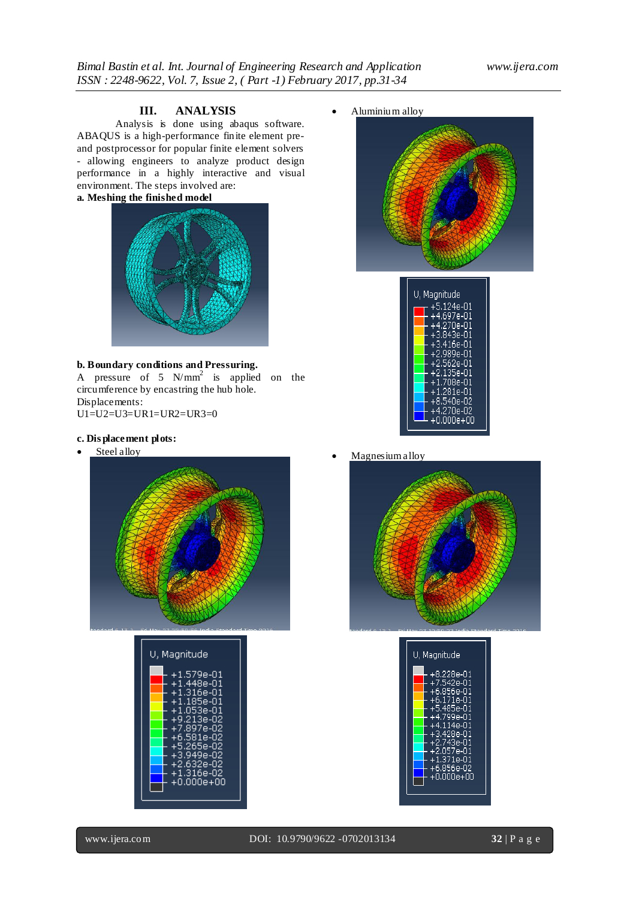# **III. ANALYSIS**

Analysis is done using abaqus software. ABAQUS is a high-performance finite element preand postprocessor for popular finite element solvers - allowing engineers to analyze product design performance in a highly interactive and visual environment. The steps involved are: **a. Meshing the finished model**



### **b. Boundary conditions and Pressuring.**

A pressure of 5  $N/mm^2$  is applied on the circumference by encastring the hub hole. Displacements: U1=U2=U3=UR1=UR2=UR3=0

- **c. Dis placement plots:**
- Steel alloy



| U, Magnitude                                                                                                                                                                                            |  |
|---------------------------------------------------------------------------------------------------------------------------------------------------------------------------------------------------------|--|
| $+1.579e-01$<br>$+1.448e-01$<br>$+1.316e-01$<br>$+1.185e-01$<br>$+1.053$ e-01<br>$+9.213e-02$<br>+7.897e-02<br>$+6.581e-02$<br>$+5.265e-02$<br>+3.949e-02<br>$+2.632e-02$<br>$+1.316e-02$<br>+0.000e+00 |  |

Aluminium alloy





Magnesium alloy



| <u>U, Magnitude</u>                                                                              |
|--------------------------------------------------------------------------------------------------|
| +8.228e-01<br>+7.542e-01<br>$+6.856e-01$<br>$+6.171e-01$<br>+5.485e-01                           |
| +4.799e-01<br>+4.114e-01<br>+3.428e-01<br>+2.743e-01<br>$+2.057e-01$<br>+1.371e-01<br>+6.856e-02 |
| +0.000e+00                                                                                       |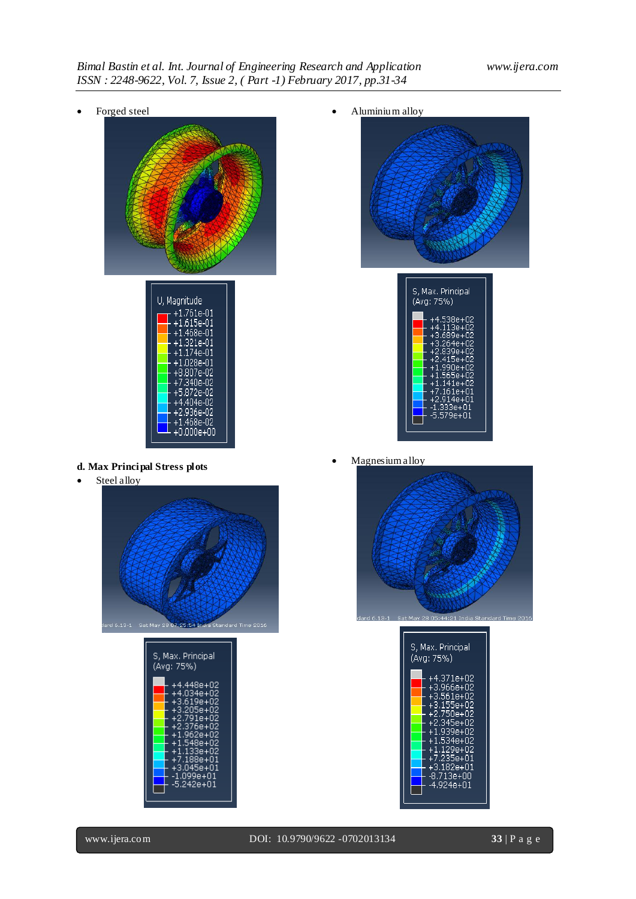Forged steel





**d. Max Principal Stress plots**

• Steel alloy





Aluminium alloy





Magnesium alloy